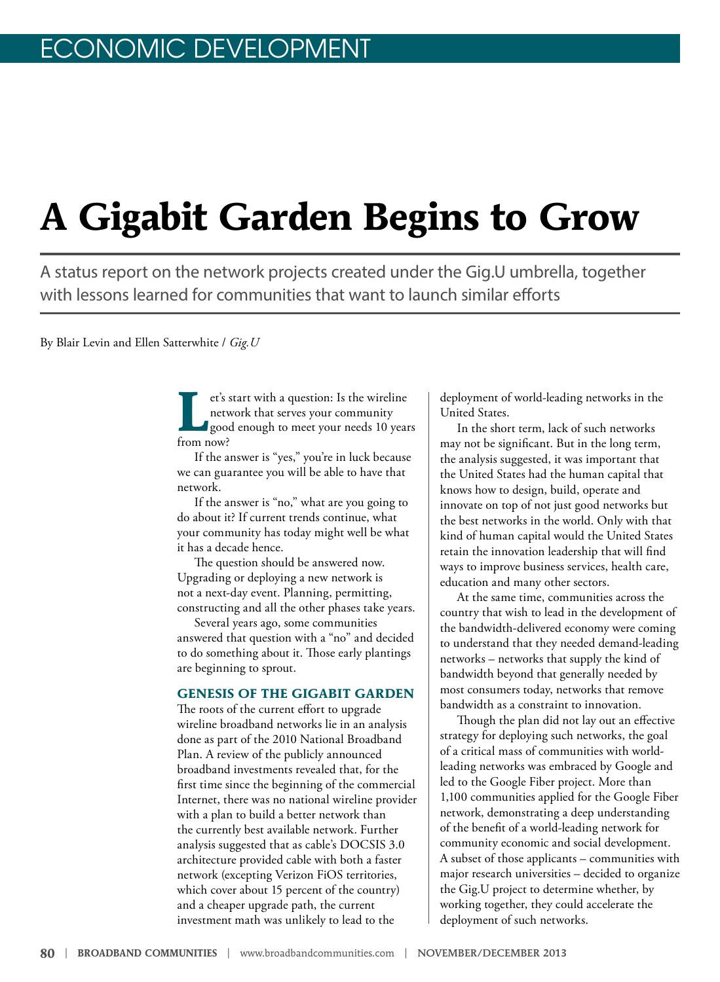# **A Gigabit Garden Begins to Grow**

A status report on the network projects created under the Gig.U umbrella, together with lessons learned for communities that want to launch similar efforts

By Blair Levin and Ellen Satterwhite / *Gig.U* 

**Let's start with a question:** Is the wireline<br>
network that serves your community<br>
good enough to meet your needs 10 years network that serves your community from now?

If the answer is "yes," you're in luck because we can guarantee you will be able to have that network.

If the answer is "no," what are you going to do about it? If current trends continue, what your community has today might well be what it has a decade hence.

The question should be answered now. Upgrading or deploying a new network is not a next-day event. Planning, permitting, constructing and all the other phases take years.

Several years ago, some communities answered that question with a "no" and decided to do something about it. Those early plantings are beginning to sprout.

#### **GENESIS OF THE GIGABIT GARDEN**

The roots of the current effort to upgrade wireline broadband networks lie in an analysis done as part of the 2010 National Broadband Plan. A review of the publicly announced broadband investments revealed that, for the first time since the beginning of the commercial Internet, there was no national wireline provider with a plan to build a better network than the currently best available network. Further analysis suggested that as cable's DOCSIS 3.0 architecture provided cable with both a faster network (excepting Verizon FiOS territories, which cover about 15 percent of the country) and a cheaper upgrade path, the current investment math was unlikely to lead to the

deployment of world-leading networks in the United States.

In the short term, lack of such networks may not be significant. But in the long term, the analysis suggested, it was important that the United States had the human capital that knows how to design, build, operate and innovate on top of not just good networks but the best networks in the world. Only with that kind of human capital would the United States retain the innovation leadership that will find ways to improve business services, health care, education and many other sectors.

At the same time, communities across the country that wish to lead in the development of the bandwidth-delivered economy were coming to understand that they needed demand-leading networks – networks that supply the kind of bandwidth beyond that generally needed by most consumers today, networks that remove bandwidth as a constraint to innovation.

Though the plan did not lay out an effective strategy for deploying such networks, the goal of a critical mass of communities with worldleading networks was embraced by Google and led to the Google Fiber project. More than 1,100 communities applied for the Google Fiber network, demonstrating a deep understanding of the benefit of a world-leading network for community economic and social development. A subset of those applicants – communities with major research universities – decided to organize the Gig.U project to determine whether, by working together, they could accelerate the deployment of such networks.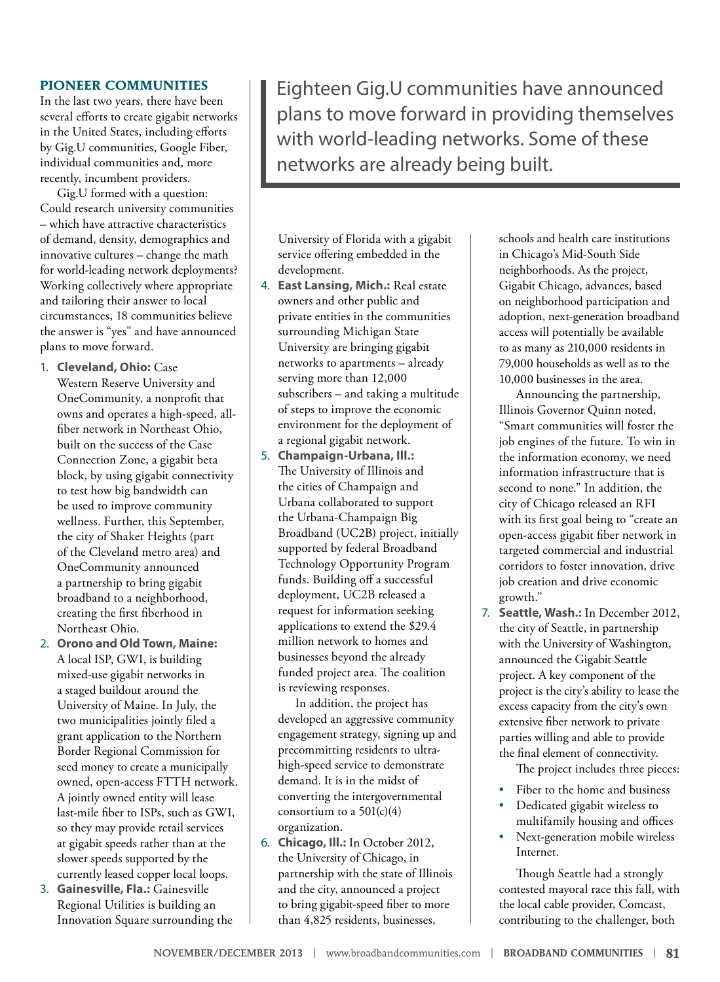#### **PIONEER COMMUNITIES**

In the last two years, there have been several efforts to create gigabit networks in the United States, including efforts by Gig.U communities, Google Fiber, individual communities and, more recently, incumbent providers.

Gig.U formed with a question: Could research university communities – which have attractive characteristics of demand, density, demographics and innovative cultures – change the math for world-leading network deployments? Working collectively where appropriate and tailoring their answer to local circumstances, 18 communities believe the answer is "yes" and have announced plans to move forward.

- 1. **Cleveland, Ohio:** Case Western Reserve University and OneCommunity, a nonprofit that owns and operates a high-speed, allfiber network in Northeast Ohio, built on the success of the Case Connection Zone, a gigabit beta block, by using gigabit connectivity to test how big bandwidth can be used to improve community wellness. Further, this September, the city of Shaker Heights (part of the Cleveland metro area) and OneCommunity announced a partnership to bring gigabit broadband to a neighborhood, creating the first fiberhood in Northeast Ohio.
- 2. **Orono and Old Town, Maine:** A local ISP, GWI, is building mixed-use gigabit networks in a staged buildout around the University of Maine. In July, the two municipalities jointly filed a grant application to the Northern Border Regional Commission for seed money to create a municipally owned, open-access FTTH network. A jointly owned entity will lease last-mile fiber to ISPs, such as GWI, so they may provide retail services at gigabit speeds rather than at the slower speeds supported by the currently leased copper local loops.
- 3. **Gainesville, Fla.:** Gainesville Regional Utilities is building an Innovation Square surrounding the

Eighteen Gig.U communities have announced plans to move forward in providing themselves with world-leading networks. Some of these networks are already being built.

University of Florida with a gigabit service offering embedded in the development.

- 4. **East Lansing, Mich.:** Real estate owners and other public and private entities in the communities surrounding Michigan State University are bringing gigabit networks to apartments – already serving more than 12,000 subscribers – and taking a multitude of steps to improve the economic environment for the deployment of a regional gigabit network.
- 5. **Champaign-Urbana, Ill.:** The University of Illinois and the cities of Champaign and Urbana collaborated to support the Urbana-Champaign Big Broadband (UC2B) project, initially supported by federal Broadband Technology Opportunity Program funds. Building off a successful deployment, UC2B released a request for information seeking applications to extend the \$29.4 million network to homes and businesses beyond the already funded project area. The coalition is reviewing responses.

In addition, the project has developed an aggressive community engagement strategy, signing up and precommitting residents to ultrahigh-speed service to demonstrate demand. It is in the midst of converting the intergovernmental consortium to a  $501(c)(4)$ organization.

6. **Chicago, Ill.:** In October 2012, the University of Chicago, in partnership with the state of Illinois and the city, announced a project to bring gigabit-speed fiber to more than 4,825 residents, businesses,

schools and health care institutions in Chicago's Mid-South Side neighborhoods. As the project, Gigabit Chicago, advances, based on neighborhood participation and adoption, next-generation broadband access will potentially be available to as many as 210,000 residents in 79,000 households as well as to the 10,000 businesses in the area.

Announcing the partnership, Illinois Governor Quinn noted, "Smart communities will foster the job engines of the future. To win in the information economy, we need information infrastructure that is second to none." In addition, the city of Chicago released an RFI with its first goal being to "create an open-access gigabit fiber network in targeted commercial and industrial corridors to foster innovation, drive job creation and drive economic growth."

7. **Seattle, Wash.:** In December 2012, the city of Seattle, in partnership with the University of Washington, announced the Gigabit Seattle project. A key component of the project is the city's ability to lease the excess capacity from the city's own extensive fiber network to private parties willing and able to provide the final element of connectivity.

The project includes three pieces:

- Fiber to the home and business
- Dedicated gigabit wireless to multifamily housing and offices
- Next-generation mobile wireless Internet.

Though Seattle had a strongly contested mayoral race this fall, with the local cable provider, Comcast, contributing to the challenger, both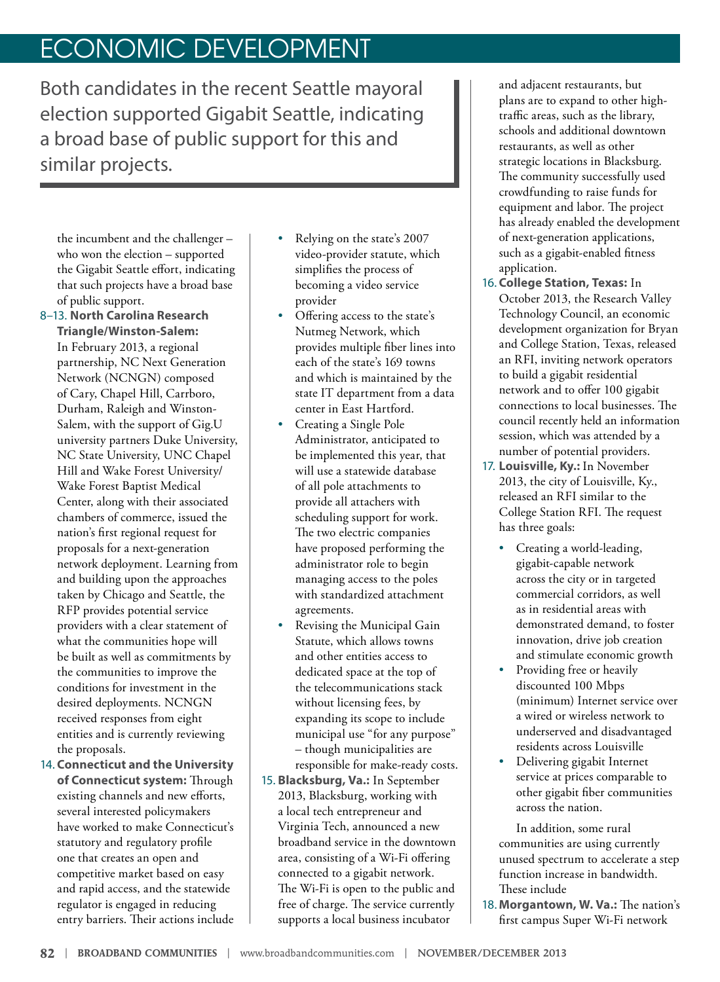# ECONOMIC DEVELOPMENT

Both candidates in the recent Seattle mayoral election supported Gigabit Seattle, indicating a broad base of public support for this and similar projects.

the incumbent and the challenger – who won the election – supported the Gigabit Seattle effort, indicating that such projects have a broad base of public support.

- 8–13. **North Carolina Research Triangle/Winston-Salem:** In February 2013, a regional partnership, NC Next Generation Network (NCNGN) composed of Cary, Chapel Hill, Carrboro, Durham, Raleigh and Winston-Salem, with the support of Gig.U university partners Duke University, NC State University, UNC Chapel Hill and Wake Forest University/ Wake Forest Baptist Medical Center, along with their associated chambers of commerce, issued the nation's first regional request for proposals for a next-generation network deployment. Learning from and building upon the approaches taken by Chicago and Seattle, the RFP provides potential service providers with a clear statement of what the communities hope will be built as well as commitments by the communities to improve the conditions for investment in the desired deployments. NCNGN received responses from eight entities and is currently reviewing the proposals.
- 14. **Connecticut and the University of Connecticut system:** Through existing channels and new efforts, several interested policymakers have worked to make Connecticut's statutory and regulatory profile one that creates an open and competitive market based on easy and rapid access, and the statewide regulator is engaged in reducing entry barriers. Their actions include
- Relying on the state's 2007 video-provider statute, which simplifies the process of becoming a video service provider
- Offering access to the state's Nutmeg Network, which provides multiple fiber lines into each of the state's 169 towns and which is maintained by the state IT department from a data center in East Hartford.
- Creating a Single Pole Administrator, anticipated to be implemented this year, that will use a statewide database of all pole attachments to provide all attachers with scheduling support for work. The two electric companies have proposed performing the administrator role to begin managing access to the poles with standardized attachment agreements.
- Revising the Municipal Gain Statute, which allows towns and other entities access to dedicated space at the top of the telecommunications stack without licensing fees, by expanding its scope to include municipal use "for any purpose" – though municipalities are responsible for make-ready costs.
- 15. **Blacksburg, Va.:** In September 2013, Blacksburg, working with a local tech entrepreneur and Virginia Tech, announced a new broadband service in the downtown area, consisting of a Wi-Fi offering connected to a gigabit network. The Wi-Fi is open to the public and free of charge. The service currently supports a local business incubator

and adjacent restaurants, but plans are to expand to other hightraffic areas, such as the library, schools and additional downtown restaurants, as well as other strategic locations in Blacksburg. The community successfully used crowdfunding to raise funds for equipment and labor. The project has already enabled the development of next-generation applications, such as a gigabit-enabled fitness application.

- 16. **College Station, Texas:** In October 2013, the Research Valley Technology Council, an economic development organization for Bryan and College Station, Texas, released an RFI, inviting network operators to build a gigabit residential network and to offer 100 gigabit connections to local businesses. The council recently held an information session, which was attended by a number of potential providers.
- 17. **Louisville, Ky.:** In November 2013, the city of Louisville, Ky., released an RFI similar to the College Station RFI. The request has three goals:
	- Creating a world-leading, gigabit-capable network across the city or in targeted commercial corridors, as well as in residential areas with demonstrated demand, to foster innovation, drive job creation and stimulate economic growth
	- Providing free or heavily discounted 100 Mbps (minimum) Internet service over a wired or wireless network to underserved and disadvantaged residents across Louisville
	- Delivering gigabit Internet service at prices comparable to other gigabit fiber communities across the nation.

In addition, some rural communities are using currently unused spectrum to accelerate a step function increase in bandwidth. These include

18. **Morgantown, W. Va.:** The nation's first campus Super Wi-Fi network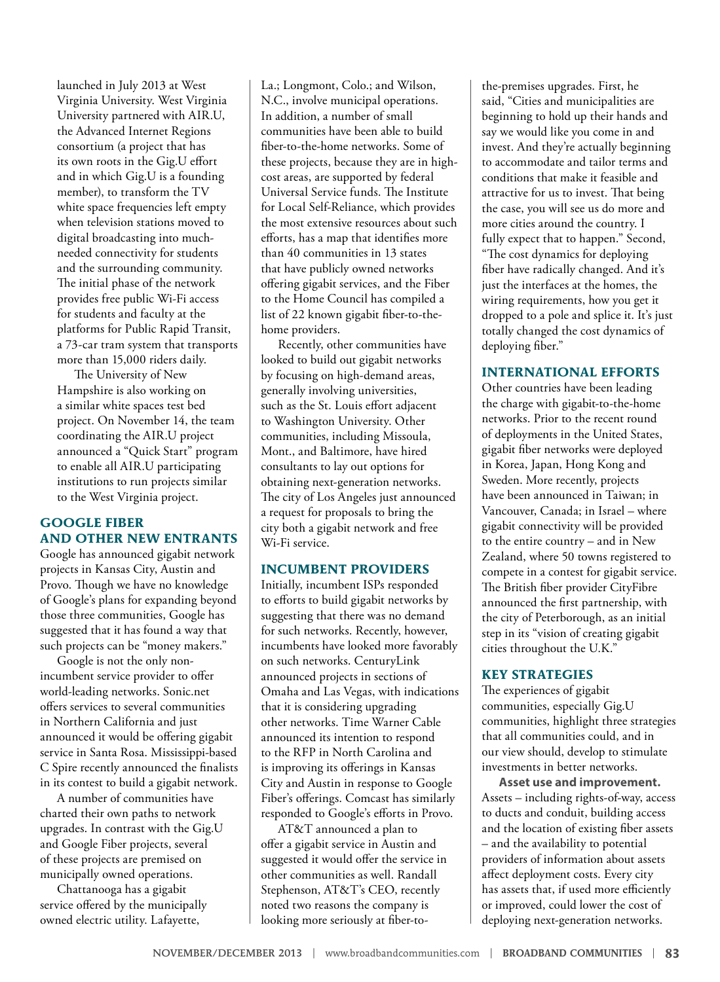launched in July 2013 at West Virginia University. West Virginia University partnered with AIR.U, the Advanced Internet Regions consortium (a project that has its own roots in the Gig.U effort and in which Gig.U is a founding member), to transform the TV white space frequencies left empty when television stations moved to digital broadcasting into muchneeded connectivity for students and the surrounding community. The initial phase of the network provides free public Wi-Fi access for students and faculty at the platforms for Public Rapid Transit, a 73-car tram system that transports more than 15,000 riders daily.

The University of New Hampshire is also working on a similar white spaces test bed project. On November 14, the team coordinating the AIR.U project announced a "Quick Start" program to enable all AIR.U participating institutions to run projects similar to the West Virginia project.

#### **GOOGLE FIBER AND OTHER NEW ENTRANTS**

Google has announced gigabit network projects in Kansas City, Austin and Provo. Though we have no knowledge of Google's plans for expanding beyond those three communities, Google has suggested that it has found a way that such projects can be "money makers."

Google is not the only nonincumbent service provider to offer world-leading networks. Sonic.net offers services to several communities in Northern California and just announced it would be offering gigabit service in Santa Rosa. Mississippi-based C Spire recently announced the finalists in its contest to build a gigabit network.

A number of communities have charted their own paths to network upgrades. In contrast with the Gig.U and Google Fiber projects, several of these projects are premised on municipally owned operations.

Chattanooga has a gigabit service offered by the municipally owned electric utility. Lafayette,

La.; Longmont, Colo.; and Wilson, N.C., involve municipal operations. In addition, a number of small communities have been able to build fiber-to-the-home networks. Some of these projects, because they are in highcost areas, are supported by federal Universal Service funds. The Institute for Local Self-Reliance, which provides the most extensive resources about such efforts, has a map that identifies more than 40 communities in 13 states that have publicly owned networks offering gigabit services, and the Fiber to the Home Council has compiled a list of 22 known gigabit fiber-to-thehome providers.

Recently, other communities have looked to build out gigabit networks by focusing on high-demand areas, generally involving universities, such as the St. Louis effort adjacent to Washington University. Other communities, including Missoula, Mont., and Baltimore, have hired consultants to lay out options for obtaining next-generation networks. The city of Los Angeles just announced a request for proposals to bring the city both a gigabit network and free Wi-Fi service.

#### **INCUMBENT PROVIDERS**

Initially, incumbent ISPs responded to efforts to build gigabit networks by suggesting that there was no demand for such networks. Recently, however, incumbents have looked more favorably on such networks. CenturyLink announced projects in sections of Omaha and Las Vegas, with indications that it is considering upgrading other networks. Time Warner Cable announced its intention to respond to the RFP in North Carolina and is improving its offerings in Kansas City and Austin in response to Google Fiber's offerings. Comcast has similarly responded to Google's efforts in Provo.

AT&T announced a plan to offer a gigabit service in Austin and suggested it would offer the service in other communities as well. Randall Stephenson, AT&T's CEO, recently noted two reasons the company is looking more seriously at fiber-to-

the-premises upgrades. First, he said, "Cities and municipalities are beginning to hold up their hands and say we would like you come in and invest. And they're actually beginning to accommodate and tailor terms and conditions that make it feasible and attractive for us to invest. That being the case, you will see us do more and more cities around the country. I fully expect that to happen." Second, "The cost dynamics for deploying fiber have radically changed. And it's just the interfaces at the homes, the wiring requirements, how you get it dropped to a pole and splice it. It's just totally changed the cost dynamics of deploying fiber."

#### **INTERNATIONAL EFFORTS**

Other countries have been leading the charge with gigabit-to-the-home networks. Prior to the recent round of deployments in the United States, gigabit fiber networks were deployed in Korea, Japan, Hong Kong and Sweden. More recently, projects have been announced in Taiwan; in Vancouver, Canada; in Israel – where gigabit connectivity will be provided to the entire country – and in New Zealand, where 50 towns registered to compete in a contest for gigabit service. The British fiber provider CityFibre announced the first partnership, with the city of Peterborough, as an initial step in its "vision of creating gigabit cities throughout the U.K."

### **KEY STRATEGIES**

The experiences of gigabit communities, especially Gig.U communities, highlight three strategies that all communities could, and in our view should, develop to stimulate investments in better networks.

**Asset use and improvement.** Assets – including rights-of-way, access to ducts and conduit, building access and the location of existing fiber assets – and the availability to potential providers of information about assets affect deployment costs. Every city has assets that, if used more efficiently or improved, could lower the cost of deploying next-generation networks.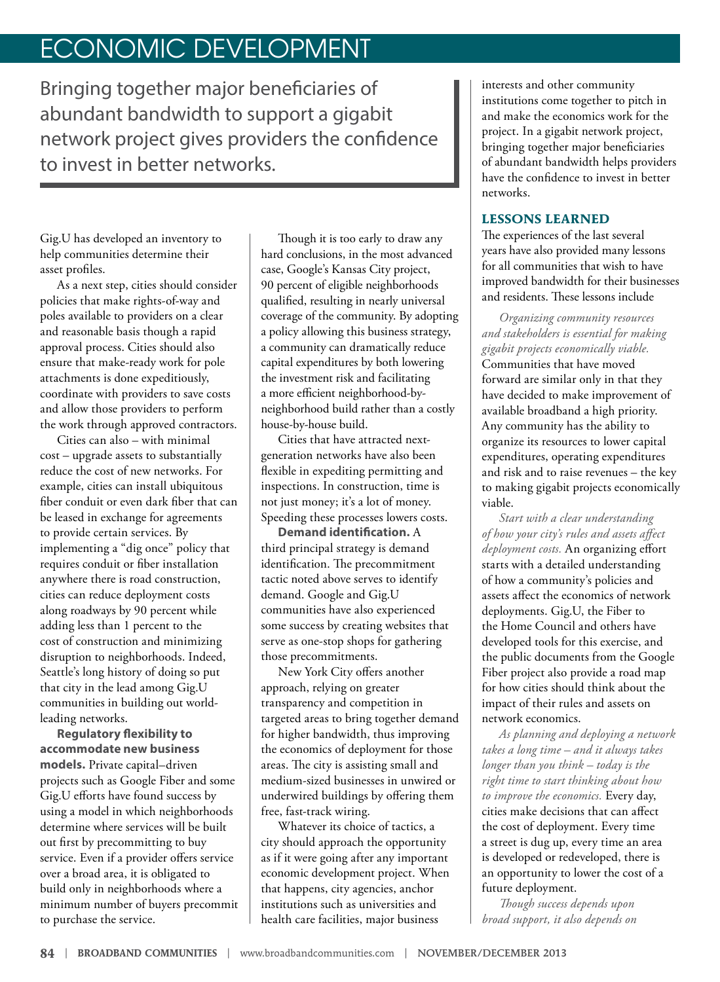## ECONOMIC DEVELOPMENT

Bringing together major beneficiaries of abundant bandwidth to support a gigabit network project gives providers the confidence to invest in better networks.

Gig.U has developed an inventory to help communities determine their asset profiles.

As a next step, cities should consider policies that make rights-of-way and poles available to providers on a clear and reasonable basis though a rapid approval process. Cities should also ensure that make-ready work for pole attachments is done expeditiously, coordinate with providers to save costs and allow those providers to perform the work through approved contractors.

Cities can also – with minimal cost – upgrade assets to substantially reduce the cost of new networks. For example, cities can install ubiquitous fiber conduit or even dark fiber that can be leased in exchange for agreements to provide certain services. By implementing a "dig once" policy that requires conduit or fiber installation anywhere there is road construction, cities can reduce deployment costs along roadways by 90 percent while adding less than 1 percent to the cost of construction and minimizing disruption to neighborhoods. Indeed, Seattle's long history of doing so put that city in the lead among Gig.U communities in building out worldleading networks.

**Regulatory flexibility to accommodate new business models.** Private capital–driven projects such as Google Fiber and some Gig.U efforts have found success by using a model in which neighborhoods determine where services will be built out first by precommitting to buy service. Even if a provider offers service over a broad area, it is obligated to build only in neighborhoods where a minimum number of buyers precommit to purchase the service.

Though it is too early to draw any hard conclusions, in the most advanced case, Google's Kansas City project, 90 percent of eligible neighborhoods qualified, resulting in nearly universal coverage of the community. By adopting a policy allowing this business strategy, a community can dramatically reduce capital expenditures by both lowering the investment risk and facilitating a more efficient neighborhood-byneighborhood build rather than a costly house-by-house build.

Cities that have attracted nextgeneration networks have also been flexible in expediting permitting and inspections. In construction, time is not just money; it's a lot of money. Speeding these processes lowers costs.

**Demand identification.** A third principal strategy is demand identification. The precommitment tactic noted above serves to identify demand. Google and Gig.U communities have also experienced some success by creating websites that serve as one-stop shops for gathering those precommitments.

New York City offers another approach, relying on greater transparency and competition in targeted areas to bring together demand for higher bandwidth, thus improving the economics of deployment for those areas. The city is assisting small and medium-sized businesses in unwired or underwired buildings by offering them free, fast-track wiring.

Whatever its choice of tactics, a city should approach the opportunity as if it were going after any important economic development project. When that happens, city agencies, anchor institutions such as universities and health care facilities, major business

interests and other community institutions come together to pitch in and make the economics work for the project. In a gigabit network project, bringing together major beneficiaries of abundant bandwidth helps providers have the confidence to invest in better networks.

### **LESSONS LEARNED**

The experiences of the last several years have also provided many lessons for all communities that wish to have improved bandwidth for their businesses and residents. These lessons include

*Organizing community resources and stakeholders is essential for making gigabit projects economically viable.* Communities that have moved forward are similar only in that they have decided to make improvement of available broadband a high priority. Any community has the ability to organize its resources to lower capital expenditures, operating expenditures and risk and to raise revenues – the key to making gigabit projects economically viable.

*Start with a clear understanding of how your city's rules and assets affect deployment costs.* An organizing effort starts with a detailed understanding of how a community's policies and assets affect the economics of network deployments. Gig.U, the Fiber to the Home Council and others have developed tools for this exercise, and the public documents from the Google Fiber project also provide a road map for how cities should think about the impact of their rules and assets on network economics.

*As planning and deploying a network takes a long time – and it always takes longer than you think – today is the right time to start thinking about how to improve the economics.* Every day, cities make decisions that can affect the cost of deployment. Every time a street is dug up, every time an area is developed or redeveloped, there is an opportunity to lower the cost of a future deployment.

*Though success depends upon broad support, it also depends on*